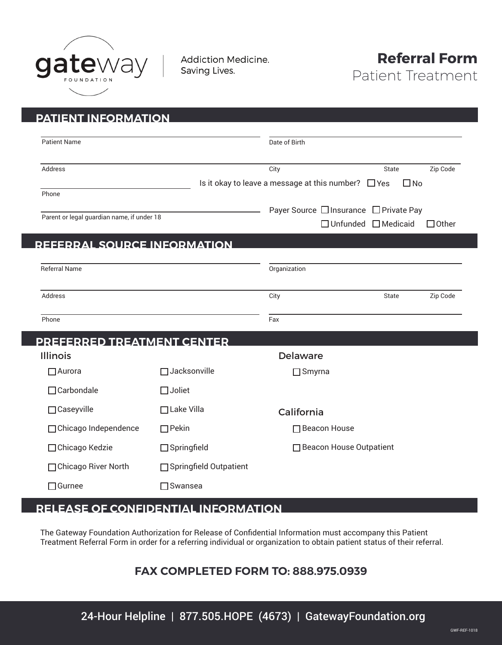

**Addiction Medicine.** Saving Lives.



| <b>PATIENT INFORMATION</b>                           |                          |                 |                                                                           |              |
|------------------------------------------------------|--------------------------|-----------------|---------------------------------------------------------------------------|--------------|
|                                                      |                          |                 |                                                                           |              |
| <b>Patient Name</b>                                  |                          | Date of Birth   |                                                                           |              |
| Address                                              |                          | City            | State                                                                     | Zip Code     |
|                                                      |                          |                 | Is it okay to leave a message at this number? $\Box$ Yes                  | $\square$ No |
| Phone                                                |                          |                 |                                                                           |              |
| Parent or legal guardian name, if under 18           |                          |                 | Payer Source □ Insurance □ Private Pay<br>$\Box$ Unfunded $\Box$ Medicaid | $\Box$ Other |
|                                                      |                          |                 |                                                                           |              |
| <b>REFERRAL SOURCE INFORMATION</b>                   |                          |                 |                                                                           |              |
| <b>Referral Name</b>                                 |                          | Organization    |                                                                           |              |
|                                                      |                          |                 |                                                                           |              |
| Address                                              |                          | City            | State                                                                     | Zip Code     |
| Phone                                                |                          | Fax             |                                                                           |              |
|                                                      |                          |                 |                                                                           |              |
| <b>PREFERRED TREATMENT CENTER</b><br><b>Illinois</b> |                          | <b>Delaware</b> |                                                                           |              |
| $\Box$ Aurora                                        | □ Jacksonville           |                 |                                                                           |              |
|                                                      |                          | $\Box$ Smyrna   |                                                                           |              |
| $\Box$ Carbondale                                    | $\Box$ Joliet            |                 |                                                                           |              |
| □ Caseyville                                         | $\Box$ Lake Villa        | California      |                                                                           |              |
| □ Chicago Independence                               | $\Box$ Pekin             |                 | □ Beacon House                                                            |              |
| □ Chicago Kedzie                                     | $\Box$ Springfield       |                 | □ Beacon House Outpatient                                                 |              |
| □ Chicago River North                                | □ Springfield Outpatient |                 |                                                                           |              |
| $\sqcap$ Gurnee                                      | l Swansea                |                 |                                                                           |              |

## **RELEASE OF CONFIDENTIAL INFORMATION**

The Gateway Foundation Authorization for Release of Confidential Information must accompany this Patient Treatment Referral Form in order for a referring individual or organization to obtain patient status of their referral.

## **FAX COMPLETED FORM TO: 888.975.0939**